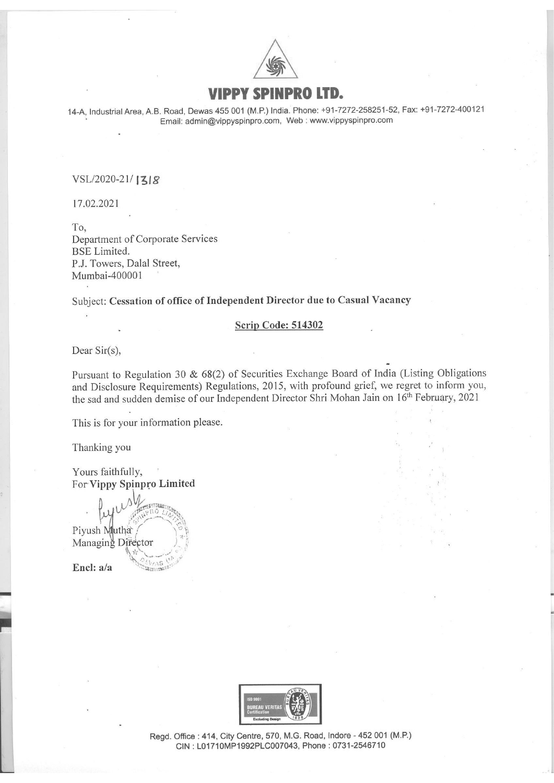

## PPY SPINPRO LTD.

14-A, Industrial Area, A.B. Road, Dewas <sup>455</sup> <sup>001</sup> (M.P.) India. Phone: +91-7272-258251-52, Fax: +91-7272-400121 Email: admin@vippyspinpro.com, Web : www.vippyspinpro.com

## VSL/2020-21/1318

17.02.2021

To, Department of Corporate Services BSE Limited. P.J. Towers, Dalal Street, Mumbai-400001

Subject: Cessation of office of Independent Director due to Casual Vacancy

#### Scrip Code: 514302

Dear Sir(s),

Pursuant to Regulation <sup>30</sup> & 68(2) of Securities Exchange Board of India (Listing Obligations and Disclosure Requirements) Regulations, 2015, with profound grief, we regret to inform you, the sad and sudden demise of our Independent Director Shri Mohan Jain on 16<sup>th</sup> February, 2021

This is for your information please.

Thanking you

Yours faithfully, For Vippy Spinpro Limit

 $N_{\text{max}}$  $\cdot$  . Ly  $\cup$  . The right of  $\cup$ Piyush Mutha Managing Director **Processor** 

Encl: a/a

-



..

Regd. Office: 414, City Centre, 570, M.G. Road, Indore - 452 001 (M.P.) CIN: L01710MP1992PLC007043, Phone: 0731-2546710